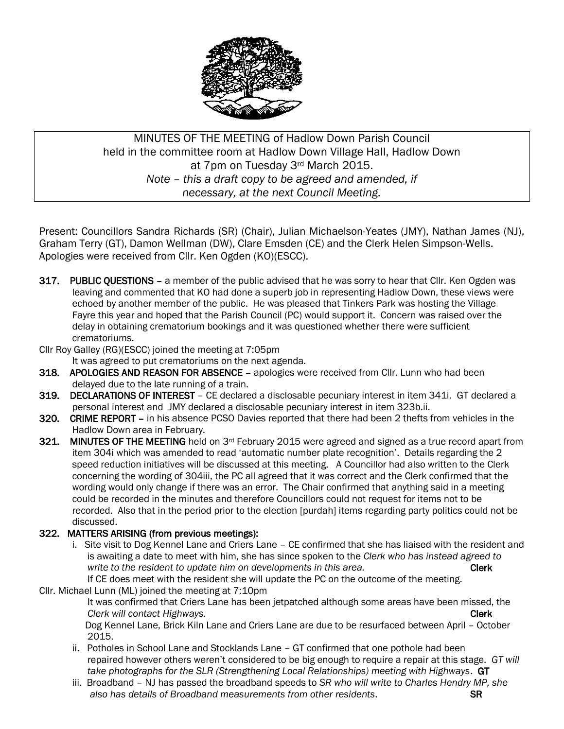

# MINUTES OF THE MEETING of Hadlow Down Parish Council held in the committee room at Hadlow Down Village Hall, Hadlow Down at 7pm on Tuesday 3rd March 2015. *Note – this a draft copy to be agreed and amended, if necessary, at the next Council Meeting.*

Present: Councillors Sandra Richards (SR) (Chair), Julian Michaelson-Yeates (JMY), Nathan James (NJ), Graham Terry (GT), Damon Wellman (DW), Clare Emsden (CE) and the Clerk Helen Simpson-Wells. Apologies were received from Cllr. Ken Ogden (KO)(ESCC).

317. PUBLIC OUESTIONS – a member of the public advised that he was sorry to hear that Cllr. Ken Ogden was leaving and commented that KO had done a superb job in representing Hadlow Down, these views were echoed by another member of the public. He was pleased that Tinkers Park was hosting the Village Fayre this year and hoped that the Parish Council (PC) would support it. Concern was raised over the delay in obtaining crematorium bookings and it was questioned whether there were sufficient crematoriums.

Cllr Roy Galley (RG)(ESCC) joined the meeting at 7:05pm

It was agreed to put crematoriums on the next agenda.

- 318. APOLOGIES AND REASON FOR ABSENCE apologies were received from Cllr. Lunn who had been delayed due to the late running of a train.
- 319. DECLARATIONS OF INTEREST CE declared a disclosable pecuniary interest in item 341i. GT declared a personal interest and JMY declared a disclosable pecuniary interest in item 323b.ii.
- 320. CRIME REPORT in his absence PCSO Davies reported that there had been 2 thefts from vehicles in the Hadlow Down area in February.
- 321. MINUTES OF THE MEETING held on 3<sup>rd</sup> February 2015 were agreed and signed as a true record apart from item 304i which was amended to read 'automatic number plate recognition'. Details regarding the 2 speed reduction initiatives will be discussed at this meeting. A Councillor had also written to the Clerk concerning the wording of 304iii, the PC all agreed that it was correct and the Clerk confirmed that the wording would only change if there was an error. The Chair confirmed that anything said in a meeting could be recorded in the minutes and therefore Councillors could not request for items not to be recorded. Also that in the period prior to the election [purdah] items regarding party politics could not be discussed.

# 322. MATTERS ARISING (from previous meetings):

 i. Site visit to Dog Kennel Lane and Criers Lane – CE confirmed that she has liaised with the resident and is awaiting a date to meet with him, she has since spoken to the *Clerk who has instead agreed to write* to the resident to update him on developments in this area. **Clerk Clerk** 

 If CE does meet with the resident she will update the PC on the outcome of the meeting. Cllr. Michael Lunn (ML) joined the meeting at 7:10pm

> It was confirmed that Criers Lane has been jetpatched although some areas have been missed, the *Clerk will contact Highways.* Clerk

> Dog Kennel Lane, Brick Kiln Lane and Criers Lane are due to be resurfaced between April – October 2015.

- ii. Potholes in School Lane and Stocklands Lane GT confirmed that one pothole had been repaired however others weren't considered to be big enough to require a repair at this stage. *GT will take photographs for the SLR (Strengthening Local Relationships) meeting with Highways*. GT
- iii. Broadband NJ has passed the broadband speeds to *SR who will write to Charles Hendry MP, she also has details of Broadband measurements from other residents*. SR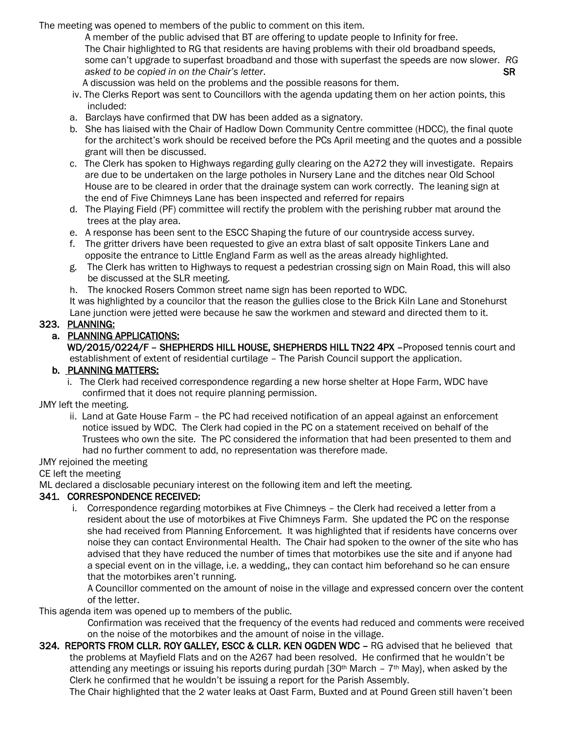The meeting was opened to members of the public to comment on this item.

 A member of the public advised that BT are offering to update people to Infinity for free. The Chair highlighted to RG that residents are having problems with their old broadband speeds, some can't upgrade to superfast broadband and those with superfast the speeds are now slower. *RG asked to be copied in on the Chair's letter.* **SR <b>***All and SR* **SR SR** 

A discussion was held on the problems and the possible reasons for them.

- iv. The Clerks Report was sent to Councillors with the agenda updating them on her action points, this included:
- a. Barclays have confirmed that DW has been added as a signatory.
- b. She has liaised with the Chair of Hadlow Down Community Centre committee (HDCC), the final quote for the architect's work should be received before the PCs April meeting and the quotes and a possible grant will then be discussed.
- c. The Clerk has spoken to Highways regarding gully clearing on the A272 they will investigate. Repairs are due to be undertaken on the large potholes in Nursery Lane and the ditches near Old School House are to be cleared in order that the drainage system can work correctly. The leaning sign at the end of Five Chimneys Lane has been inspected and referred for repairs
- d. The Playing Field (PF) committee will rectify the problem with the perishing rubber mat around the trees at the play area.
- e. A response has been sent to the ESCC Shaping the future of our countryside access survey.
- f. The gritter drivers have been requested to give an extra blast of salt opposite Tinkers Lane and opposite the entrance to Little England Farm as well as the areas already highlighted.
- g. The Clerk has written to Highways to request a pedestrian crossing sign on Main Road, this will also be discussed at the SLR meeting.
- h. The knocked Rosers Common street name sign has been reported to WDC.

 It was highlighted by a councilor that the reason the gullies close to the Brick Kiln Lane and Stonehurst Lane junction were jetted were because he saw the workmen and steward and directed them to it.

# 323. PLANNING:

# a. PLANNING APPLICATIONS:

 WD/2015/0224/F – SHEPHERDS HILL HOUSE, SHEPHERDS HILL TN22 4PX –Proposed tennis court and establishment of extent of residential curtilage – The Parish Council support the application.

# b. PLANNING MATTERS:

 i. The Clerk had received correspondence regarding a new horse shelter at Hope Farm, WDC have confirmed that it does not require planning permission.

JMY left the meeting.

 ii. Land at Gate House Farm – the PC had received notification of an appeal against an enforcement notice issued by WDC. The Clerk had copied in the PC on a statement received on behalf of the Trustees who own the site. The PC considered the information that had been presented to them and had no further comment to add, no representation was therefore made.

#### JMY rejoined the meeting

#### CE left the meeting

ML declared a disclosable pecuniary interest on the following item and left the meeting.

# 341. CORRESPONDENCE RECEIVED:

 i. Correspondence regarding motorbikes at Five Chimneys – the Clerk had received a letter from a resident about the use of motorbikes at Five Chimneys Farm. She updated the PC on the response she had received from Planning Enforcement. It was highlighted that if residents have concerns over noise they can contact Environmental Health. The Chair had spoken to the owner of the site who has advised that they have reduced the number of times that motorbikes use the site and if anyone had a special event on in the village, i.e. a wedding,, they can contact him beforehand so he can ensure that the motorbikes aren't running.

 A Councillor commented on the amount of noise in the village and expressed concern over the content of the letter.

This agenda item was opened up to members of the public.

 Confirmation was received that the frequency of the events had reduced and comments were received on the noise of the motorbikes and the amount of noise in the village.

324. REPORTS FROM CLLR. ROY GALLEY, ESCC & CLLR. KEN OGDEN WDC – RG advised that he believed that the problems at Mayfield Flats and on the A267 had been resolved. He confirmed that he wouldn't be attending any meetings or issuing his reports during purdah  $[30<sup>th</sup> March - 7<sup>th</sup> May]$ , when asked by the Clerk he confirmed that he wouldn't be issuing a report for the Parish Assembly.

The Chair highlighted that the 2 water leaks at Oast Farm, Buxted and at Pound Green still haven't been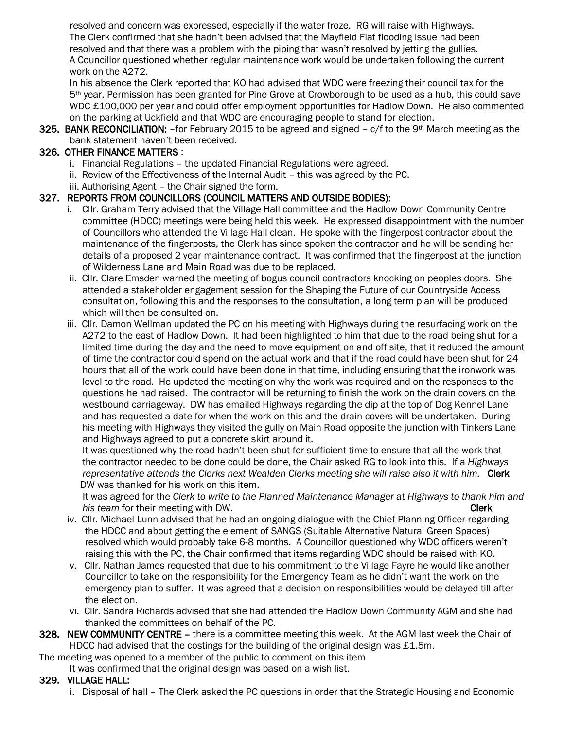resolved and concern was expressed, especially if the water froze. RG will raise with Highways. The Clerk confirmed that she hadn't been advised that the Mayfield Flat flooding issue had been resolved and that there was a problem with the piping that wasn't resolved by jetting the gullies. A Councillor questioned whether regular maintenance work would be undertaken following the current work on the A272.

 In his absence the Clerk reported that KO had advised that WDC were freezing their council tax for the 5th year. Permission has been granted for Pine Grove at Crowborough to be used as a hub, this could save WDC £100,000 per year and could offer employment opportunities for Hadlow Down. He also commented on the parking at Uckfield and that WDC are encouraging people to stand for election.

325. BANK RECONCILIATION: - for February 2015 to be agreed and signed - c/f to the 9<sup>th</sup> March meeting as the bank statement haven't been received.

# 326. OTHER FINANCE MATTERS :

- i. Financial Regulations the updated Financial Regulations were agreed.
- ii. Review of the Effectiveness of the Internal Audit this was agreed by the PC.
- iii. Authorising Agent the Chair signed the form.

# 327. REPORTS FROM COUNCILLORS (COUNCIL MATTERS AND OUTSIDE BODIES):

- i. Cllr. Graham Terry advised that the Village Hall committee and the Hadlow Down Community Centre committee (HDCC) meetings were being held this week. He expressed disappointment with the number of Councillors who attended the Village Hall clean. He spoke with the fingerpost contractor about the maintenance of the fingerposts, the Clerk has since spoken the contractor and he will be sending her details of a proposed 2 year maintenance contract. It was confirmed that the fingerpost at the junction of Wilderness Lane and Main Road was due to be replaced.
- ii. Cllr. Clare Emsden warned the meeting of bogus council contractors knocking on peoples doors. She attended a stakeholder engagement session for the Shaping the Future of our Countryside Access consultation, following this and the responses to the consultation, a long term plan will be produced which will then be consulted on.
- iii. Cllr. Damon Wellman updated the PC on his meeting with Highways during the resurfacing work on the A272 to the east of Hadlow Down. It had been highlighted to him that due to the road being shut for a limited time during the day and the need to move equipment on and off site, that it reduced the amount of time the contractor could spend on the actual work and that if the road could have been shut for 24 hours that all of the work could have been done in that time, including ensuring that the ironwork was level to the road. He updated the meeting on why the work was required and on the responses to the questions he had raised. The contractor will be returning to finish the work on the drain covers on the westbound carriageway. DW has emailed Highways regarding the dip at the top of Dog Kennel Lane and has requested a date for when the work on this and the drain covers will be undertaken. During his meeting with Highways they visited the gully on Main Road opposite the junction with Tinkers Lane and Highways agreed to put a concrete skirt around it.

 It was questioned why the road hadn't been shut for sufficient time to ensure that all the work that the contractor needed to be done could be done, the Chair asked RG to look into this. If a *Highways representative attends the Clerks next Wealden Clerks meeting she will raise also it with him.* Clerk DW was thanked for his work on this item.

 It was agreed for the *Clerk to write to the Planned Maintenance Manager at Highways to thank him and his team* for their meeting with DW. Clerk and the state of the state of the state of the clerk

- iv. Cllr. Michael Lunn advised that he had an ongoing dialogue with the Chief Planning Officer regarding the HDCC and about getting the element of SANGS (Suitable Alternative Natural Green Spaces) resolved which would probably take 6-8 months. A Councillor questioned why WDC officers weren't raising this with the PC, the Chair confirmed that items regarding WDC should be raised with KO.
- v. Cllr. Nathan James requested that due to his commitment to the Village Fayre he would like another Councillor to take on the responsibility for the Emergency Team as he didn't want the work on the emergency plan to suffer. It was agreed that a decision on responsibilities would be delayed till after the election.
- vi. Cllr. Sandra Richards advised that she had attended the Hadlow Down Community AGM and she had thanked the committees on behalf of the PC.

#### 328. NEW COMMUNITY CENTRE – there is a committee meeting this week. At the AGM last week the Chair of HDCC had advised that the costings for the building of the original design was  $£1.5m$ .

The meeting was opened to a member of the public to comment on this item

#### It was confirmed that the original design was based on a wish list.

# 329. VILLAGE HALL:

i. Disposal of hall – The Clerk asked the PC questions in order that the Strategic Housing and Economic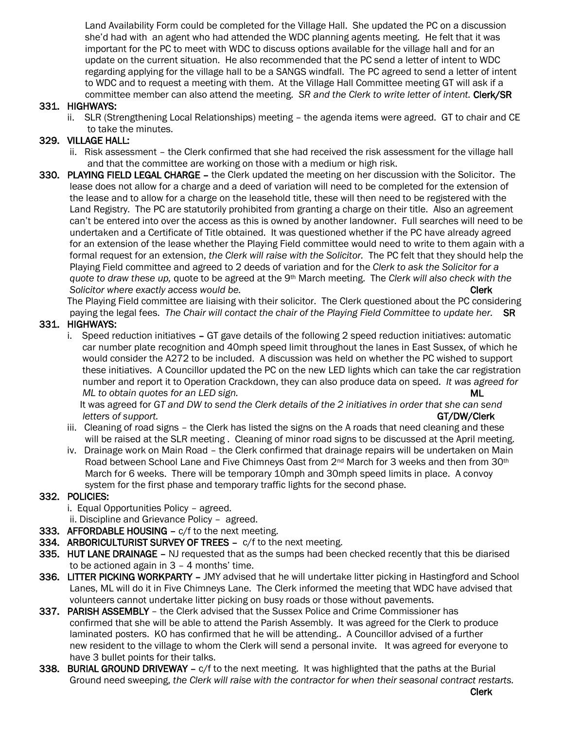Land Availability Form could be completed for the Village Hall. She updated the PC on a discussion she'd had with an agent who had attended the WDC planning agents meeting. He felt that it was important for the PC to meet with WDC to discuss options available for the village hall and for an update on the current situation. He also recommended that the PC send a letter of intent to WDC regarding applying for the village hall to be a SANGS windfall. The PC agreed to send a letter of intent to WDC and to request a meeting with them. At the Village Hall Committee meeting GT will ask if a committee member can also attend the meeting. *SR and the Clerk to write letter of intent.* Clerk/SR

#### 331. HIGHWAYS:

 ii. SLR (Strengthening Local Relationships) meeting – the agenda items were agreed. GT to chair and CE to take the minutes.

# 329. VILLAGE HALL:

- ii. Risk assessment the Clerk confirmed that she had received the risk assessment for the village hall and that the committee are working on those with a medium or high risk.
- 330. PLAYING FIELD LEGAL CHARGE the Clerk updated the meeting on her discussion with the Solicitor. The lease does not allow for a charge and a deed of variation will need to be completed for the extension of the lease and to allow for a charge on the leasehold title, these will then need to be registered with the Land Registry. The PC are statutorily prohibited from granting a charge on their title. Also an agreement can't be entered into over the access as this is owned by another landowner. Full searches will need to be undertaken and a Certificate of Title obtained. It was questioned whether if the PC have already agreed for an extension of the lease whether the Playing Field committee would need to write to them again with a formal request for an extension, *the Clerk will raise with the Solicitor.* The PC felt that they should help the Playing Field committee and agreed to 2 deeds of variation and for the *Clerk to ask the Solicitor for a quote to draw these up,* quote to be agreed at the 9th March meeting. The *Clerk will also check with the Solicitor where exactly access would be.* Clerk and the state of the state of the clerk clerk

 The Playing Field committee are liaising with their solicitor. The Clerk questioned about the PC considering paying the legal fees. *The Chair will contact the chair of the Playing Field Committee to update her.* SR

# 331. HIGHWAYS:

 i. Speed reduction initiatives – GT gave details of the following 2 speed reduction initiatives: automatic car number plate recognition and 40mph speed limit throughout the lanes in East Sussex, of which he would consider the A272 to be included. A discussion was held on whether the PC wished to support these initiatives. A Councillor updated the PC on the new LED lights which can take the car registration number and report it to Operation Crackdown, they can also produce data on speed. *It was agreed for ML* to obtain quotes for an LED sign. And the state of the state of the state of the ML

 It was agreed for *GT and DW to send the Clerk details of the 2 initiatives in order that she can send letters of support.* GT/DW/Clerk

- iii. Cleaning of road signs the Clerk has listed the signs on the A roads that need cleaning and these will be raised at the SLR meeting . Cleaning of minor road signs to be discussed at the April meeting.
- iv. Drainage work on Main Road the Clerk confirmed that drainage repairs will be undertaken on Main Road between School Lane and Five Chimneys Oast from 2<sup>nd</sup> March for 3 weeks and then from 30<sup>th</sup> March for 6 weeks. There will be temporary 10mph and 30mph speed limits in place. A convoy system for the first phase and temporary traffic lights for the second phase.

#### 332. POLICIES:

- i. Equal Opportunities Policy agreed.
- ii. Discipline and Grievance Policy agreed.
- 333. AFFORDABLE HOUSING c/f to the next meeting.
- 334. ARBORICULTURIST SURVEY OF TREES c/f to the next meeting.
- **335. HUT LANE DRAINAGE –** NJ requested that as the sumps had been checked recently that this be diarised to be actioned again in 3 – 4 months' time.
- 336. LITTER PICKING WORKPARTY JMY advised that he will undertake litter picking in Hastingford and School Lanes, ML will do it in Five Chimneys Lane. The Clerk informed the meeting that WDC have advised that volunteers cannot undertake litter picking on busy roads or those without pavements.
- 337. PARISH ASSEMBLY the Clerk advised that the Sussex Police and Crime Commissioner has confirmed that she will be able to attend the Parish Assembly. It was agreed for the Clerk to produce laminated posters. KO has confirmed that he will be attending.. A Councillor advised of a further new resident to the village to whom the Clerk will send a personal invite. It was agreed for everyone to have 3 bullet points for their talks.
- 338. BURIAL GROUND DRIVEWAY c/f to the next meeting. It was highlighted that the paths at the Burial Ground need sweeping, *the Clerk will raise with the contractor for when their seasonal contract restarts.*